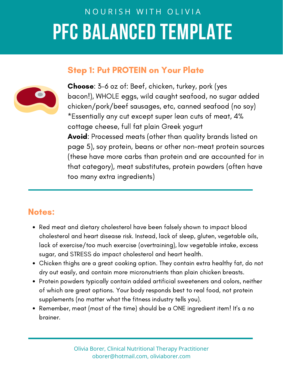# NOURISH WITH OLIVIA **PFC BALANCED TEMPLATE**

### Step 1: Put PROTEIN on Your Plate



Choose: 3-6 oz of: Beef, chicken, turkey, pork (yes bacon!), WHOLE eggs, wild caught seafood, no sugar added chicken/pork/beef sausages, etc, canned seafood (no soy) \*Essentially any cut except super lean cuts of meat, 4% cottage cheese, full fat plain Greek yogurt Avoid: Processed meats (other than quality brands listed on page 5), soy protein, beans or other non-meat protein sources (these have more carbs than protein and are accounted for in that category), meat substitutes, protein powders (often have too many extra ingredients)

# Notes:

- Red meat and dietary cholesterol have been falsely shown to impact blood cholesterol and heart disease risk. Instead, lack of sleep, gluten, vegetable oils, lack of exercise/too much exercise (overtraining), low vegetable intake, excess sugar, and STRESS do impact cholesterol and heart health.
- Chicken thighs are a great cooking option. They contain extra healthy fat, do not dry out easily, and contain more micronutrients than plain chicken breasts.
- Protein powders typically contain added artificial sweeteners and colors, neither of which are great options. Your body responds best to real food, not protein supplements (no matter what the fitness industry tells you).
- Remember, meat (most of the time) should be a ONE ingredient item! It's a no brainer.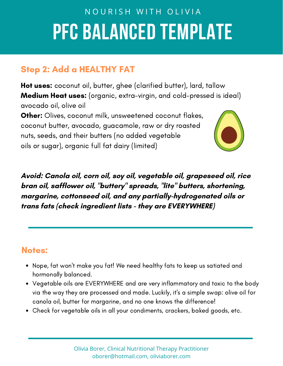# NOURISH WITH OLIVIA **PFC BALANCED TEMPLATE**

# Step 2: Add a HEALTHY FAT

Hot uses: coconut oil, butter, ghee (clarified butter), lard, tallow Medium Heat uses: (organic, extra-virgin, and cold-pressed is ideal) avocado oil, olive oil

**Other:** Olives, coconut milk, unsweetened coconut flakes, coconut butter, avocado, guacamole, raw or dry roasted nuts, seeds, and their butters (no added vegetable oils or sugar), organic full fat dairy (limited)



**Avoid: Canola oil, corn oil, soy oil, vegetable oil, grapeseed oil, rice bran oil, safflower oil, "buttery " spreads, "lite " butters, shortening, margarine, cottonseed oil, and any partially-hydrogenated oils or trans fats (check ingredient lists - they are EVERYWHERE)**

### Notes:

- Nope, fat won't make you fat! We need healthy fats to keep us satiated and hormonally balanced.
- Vegetable oils are EVERYWHERE and are very inflammatory and toxic to the body via the way they are processed and made. Luckily, it's a simple swap: olive oil for canola oil, butter for margarine, and no one knows the difference!
- Check for vegetable oils in all your condiments, crackers, baked goods, etc.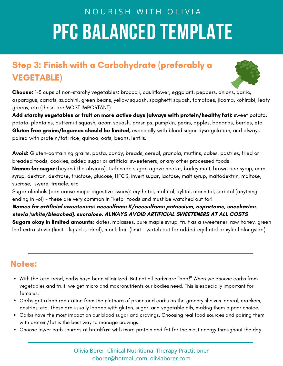# NOURISH WITH OLIVIA **PFC BALANCED TEMPLATE**

# Step 3: Finish with a Carbohydrate (preferably a VEGETABLE)



Choose: 1-3 cups of non-starchy vegetables: broccoli, cauliflower, eggplant, peppers, onions, garlic, asparagus, carrots, zucchini, green beans, yellow squash, spaghetti squash, tomatoes, jicama, kohlrabi, leafy greens, etc (these are MOST IMPORTANT)

Add starchy vegetables or fruit on more active days (always with protein/healthy fat): sweet potato, potato, plantains, butternut squash, acorn squash, parsnips, pumpkin, pears, apples, bananas, berries, etc Gluten free grains/legumes should be limited, especially with blood sugar dysregulation, and always paired with protein/fat: rice, quinoa, oats, beans, lentils.

Avoid: Gluten-containing grains, pasta, candy, breads, cereal, granola, muffins, cakes, pastries, fried or breaded foods, cookies, added sugar or artificial sweeteners, or any other processed foods Names for sugar (beyond the obvious): turbinado sugar, agave nectar, barley malt, brown rice syrup, corn syrup, dextran, dextrose, fructose, glucose, HFCS, invert sugar, lactose, malt syrup, maltodextrin, maltose, sucrose, swere, treacle, etc

Sugar alcohols (can cause major digestive issues): erythritol, maltitol, xylitol, mannitol, sorbitol (anything ending in -ol) - these are very common in "keto" foods and must be watched out for!

**Names for artificial sweeteners: acesulfame K/acesulfame potassium, aspartame, saccharine, stevia (white/bleached), sucralose. ALWAYS AVOID ARTIFICIAL SWEETENERS AT ALL COSTS**

Sugars okay in limited amounts: dates, molasses, pure maple syrup, fruit as a sweetener, raw honey, green leaf extra stevia (limit - liquid is ideal), monk fruit (limit - watch out for added erythritol or xylitol alongside)

### Notes:

- With the keto trend, carbs have been villainized. But not all carbs are "bad!" When we choose carbs from vegetables and fruit, we get micro and macronutrients our bodies need. This is especially important for females.
- Carbs get a bad reputation from the plethora of processed carbs on the grocery shelves: cereal, crackers, pastries, etc. These are usually loaded with gluten, sugar, and vegetable oils, making them a poor choice.
- Carbs have the most impact on our blood sugar and cravings. Choosing real food sources and pairing them with protein/fat is the best way to manage cravings.
- Choose lower carb sources at breakfast with more protein and fat for the most energy throughout the day.

Olivia Borer, Clinical Nutritional Therapy Practitioner oborer@hotmail.com, oliviaborer.com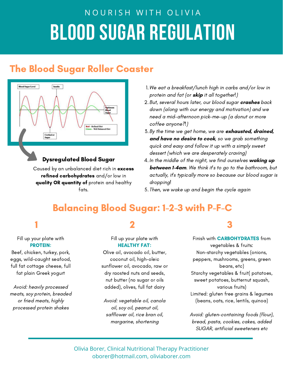# NOURISH WITH OLIVIA **BLOOD SUGAR REGULATION**

# The Blood Sugar Roller Coaster



#### Dysregulated Blood Sugar

Caused by an unbalanced diet rich in excess refined carbohydrates and/or low in quality OR quantity of protein and healthy fats.

- We eat a breakfast/lunch high in carbs and/or low in 1. protein and fat (or **skip** it all together!)
- 2.But, several hours later, our blood sugar **crashes** back down (along with our energy and motivation) and we need a mid-afternoon pick-me-up (a donut or more coffee anyone?!)
- By the time we get home, we are **exhausted, drained,** 3. **and have no desire to cook**, so we grab something quick and easy and follow it up with a simply sweet dessert (which we are desperately craving)
- In the middle of the night, we find ourselves **waking up** 4. **between 1-4am**. We think it's to go to the bathroom, but actually, it's typically more so because our blood sugar is dropping!
- 5. Then, we wake up and begin the cycle again

# Balancing Blood Sugar: 1-2-3 with P-F-C

Fill up your plate with PROTEIN:

Beef, chicken, turkey, pork, eggs, wild-caught seafood, full fat cottage cheese, full fat plain Greek yogurt

Avoid: heavily processed meats, soy protein, breaded or fried meats, highly processed protein shakes

Fill up your plate with HEALTHY FAT:

Olive oil, avocado oil, butter, coconut oil, high-oleic sunflower oil, avocado, raw or dry raosted nuts and seeds, nut butter (no sugar or oils added), olives, full fat dairy

Avoid: vegetable oil, canola oil, soy oil, peanut oil, safflower oil, rice bran oil, margarine, shortening

# $1$  and  $2$  3

Finish with CARBOHYDRATES from vegetables & fruits: Non-starchy vegetables (onions, peppers, mushrooms, greens, green beans, etc) Starchy vegetables & fruit( potatoes, sweet potatoes, butternut squash, various fruits) Limited: gluten free grains & legumes (beans, oats, rice, lentils, quinoa)

Avoid: gluten-containing foods (flour), bread, pasta, cookies, cakes, added SUGAR, artificial sweeteners etc

Olivia Borer, Clinical Nutritional Therapy Practitioner oborer@hotmail.com, oliviaborer.com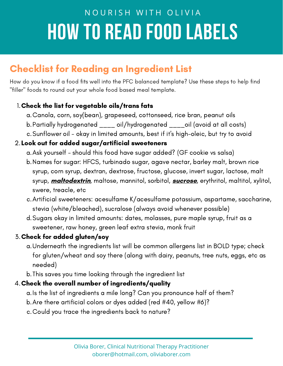# NOURISH WITH OLIVIA **HOW TO READ FOOD LABELS**

# Checklist for Reading an Ingredient List

How do you know if a food fits well into the PFC balanced template? Use these steps to help find "filler" foods to round out your whole food based meal template.

#### Check the list for vegetable oils/trans fats 1.

- Canola, corn, soy(bean), grapeseed, cottonseed, rice bran, peanut oils a.
- b.Partially hydrogenated \_\_\_\_ oil/hydrogenated \_\_\_\_oil (avoid at all costs)
- c.Sunflower oil okay in limited amounts, best if it's high-oleic, but try to avoid

#### Look out for added sugar/artificial sweeteners 2.

- a. Ask yourself should this food have sugar added? (GF cookie vs salsa)
- b.Names for sugar: HFCS, turbinado sugar, agave nectar, barley malt, brown rice syrup, corn syrup, dextran, dextrose, fructose, glucose, invert sugar, lactose, malt syrup, **maltodextrin**, maltose, mannitol, sorbitol, **sucrose**, erythritol, maltitol, xylitol, swere, treacle, etc
- Artificial sweeteners: acesulfame K/acesulfame potassium, aspartame, saccharine, c. stevia (white/bleached), sucralose (always avoid whenever possible)
- d.Sugars okay in limited amounts: dates, molasses, pure maple syrup, fruit as a sweetener, raw honey, green leaf extra stevia, monk fruit

#### Check for added gluten/soy 3.

- Underneath the ingredients list will be common allergens list in BOLD type; check a. for gluten/wheat and soy there (along with dairy, peanuts, tree nuts, eggs, etc as needed)
- This saves you time looking through the ingredient list b.

#### Check the overall number of ingredients/quality 4.

- a.Is the list of ingredients a mile long? Can you pronounce half of them?
- Are there artificial colors or dyes added (red #40, yellow #6)? b.
- Could you trace the ingredients back to nature? c.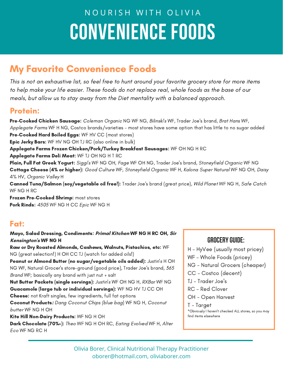# NOURISH WITH OLIVIA **CONVENIENCE FOODS**

# My Favorite Convenience Foods

This is not an exhaustive list, so feel free to hunt around your favorite grocery store for more items to help make your life easier. These foods do not replace real, whole foods as the base of our meals, but allow us to stay away from the Diet mentality with a balanced approach.

### Protein:

Pre-Cooked Chicken Sausage: Coleman Organic NG WF NG, Bilinski's WF, Trader Joe's brand, Brat Hans WF, Applegate Farms WF H NG, Costco brands/varieties - most stores have some option that has little to no sugar added Pre-Cooked Hard Boiled Eggs: WF HV CC (most stores)

**Epic Jerky Bars:** WF HV NG OH TJ RC (also online in bulk)

Applegate Farms Frozen Chicken/Pork/Turkey Breakfast Sausages: WF OH NG H RC

Applegate Farms Deli Meat: WF TJ OH NG H T RC

Plain, Full Fat Greek Yogurt: Siggi's WF NG OH, Fage WF OH NG, Trader Joe's brand, Stoneyfield Organic WF NG Cottage Cheese (4% or higher): Good Culture WF, Stoneyfield Organic WF H, Kalona Super Natural WF NG OH, Daisy 4% HV, Organic Valley H

Canned Tuna/Salmon (soy/vegetable oil free!): Trader Joe's brand (great price), Wild Planet WF NG H, Safe Catch WF NG H RC

Frozen Pre-Cooked Shrimp: most stores Pork Rinds: 4505 WF NG H CC Epic WF NG H

### Fat:

Mayo, Salad Dressing, Condiments: **Primal Kitchen** WF NG H RC OH, **Sir Kensington's** WF NG H

Raw or Dry Roasted Almonds, Cashews, Walnuts, Pistachios, etc: WF NG (great selection!) H OH CC TJ (watch for added oils!)

Peanut or Almond Butter (no sugar/vegetable oils added): Justin's HOH NG WF, Natural Grocer's store-ground (good price), Trader Joe's brand, 365 Brand WF; basically any brand with just nut + salt

Nut Butter Packets (single servings): Justin's WF OH NG H, RXBar WF NG Guacamole (large tub or individual servings): WF NG HV TJ CC OH Cheese: not Kraft singles, few ingredients, full fat options

Coconut Products**:** Dang Coconut Chips (blue bag) WF NG H, Coconut butter WF NG H OH

Kite Hill Non-Dairy Products: WF NG H OH

Dark Chocolate (70%+): Theo WF NG H OH RC, Eating Evolved WF H, Alter Eco WF NG RC H

### **GroceryGuide:**

H - HyVee (usually most pricey)

WF - Whole Foods (pricey)

- NG Natural Grocers (cheaper)
- CC Costco (decent)
- TJ Trader Joe's
- RC Red Clover
- OH Open Harvest

#### T - Target

\*Obviously I haven't checked ALL stores, so you may find items elsewhere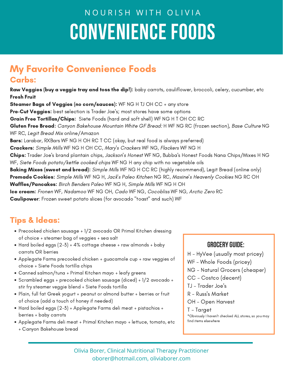# NOURISH WITH OLIVIA **CONVENIENCE FOODS**

### My Favorite Convenience Foods Carbs:

Raw Veggies (buy a veggie tray and toss the dip!): baby carrots, cauliflower, broccoli, celery, cucumber, etc Fresh Fruit

**Steamer Bags of Veggies (no corn/sauces):** WF NG H TJ OH CC  $+$  any store **Pre-Cut Veggies:** best selection is Trader Joe's; most stores have some options Grain Free Tortillas/Chips: Siete Foods (hard and soft shell) WF NG H T OH CC RC Gluten Free Bread: Canyon Bakehouse Mountain White GF Bread: H WF NG RC (frozen section), Base Culture NG WF RC, Legit Bread Mix online/Amazon Bars: Larabar, RXBars WF NG H OH RC T CC (okay, but real food is always preferred) Crackers: Simple Mills WF NG H OH CC, Mary's Crackers WF NG, Flackers WF NG H Chips: Trader Joe's brand plantain chips, Jackson's Honest WF NG, Bubba's Honest Foods Nana Chips/Mixes H NG WF, Siete Foods potato/kettle cooked chips WF NG H any chip with no vegetable oils **Baking Mixes (sweet and bread):** Simple Mills WF NG H CC RC (highly recommend), Legit Bread (online only) Premade Cookies: Simple Mills WF NG H, Jack's Paleo Kitchen NG RC, Maxine's Heavenly Cookies NG RC OH Waffles/Pancakes: Birch Benders Paleo WF NG H, Simple Mills WF NG H OH Ice cream: Fronen WF, Nadamoo WF NG OH, Cado WF NG, Cocobliss WF NG, Arctic Zero RC Caulipower: Frozen sweet potato slices (for avocado "toast" and such) WF

# Tips & Ideas:

- Precooked chicken sausage + 1/2 avocado OR Primal Kitchen dressing of choice + steamer bag of veggies + sea salt
- Hard boiled eggs  $(2-5)$  + 4% cottage cheese + raw almonds + baby carrots OR berries
- Applegate Farms precooked chicken + guacamole cup + raw veggies of choice + Siete Foods tortilla chips
- Canned salmon/tuna + Primal Kitchen mayo + leafy greens
- Scrambled eggs + precooked chicken sausage (diced) + 1/2 avocado + stir fry steamer veggie blend + Siete Foods tortilla
- Plain, full fat Greek yogurt + peanut or almond butter + berries or fruit of choice (add a touch of honey if needed)
- Hard boiled eggs (2-3) + Applegate Farms deli meat + pistachios + berries + baby carrots
- Applegate Farms deli meat + Primal Kitchen mayo + lettuce, tomato, etc + Canyon Bakehouse bread

#### **GroceryGuide:**

- H HyVee (usually most pricey)
- WF Whole Foods (pricey)
- NG Natural Grocers (cheaper)
- CC Costco (decent)
- TJ Trader Joe's
- R Russ's Market
- OH Open Harvest
- T Target \*Obviously I haven't checked ALL stores, so you may find items elsewhere